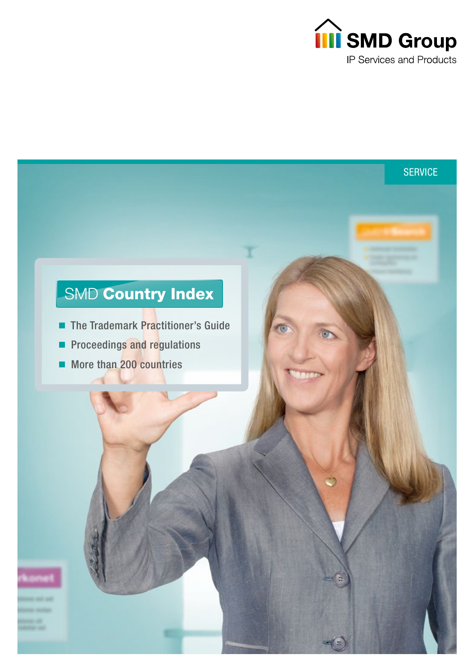

**SERVICE** 

# SMD Country Index

- The Trademark Practitioner's Guide
- Proceedings and regulations  $\blacksquare$
- More than 200 countries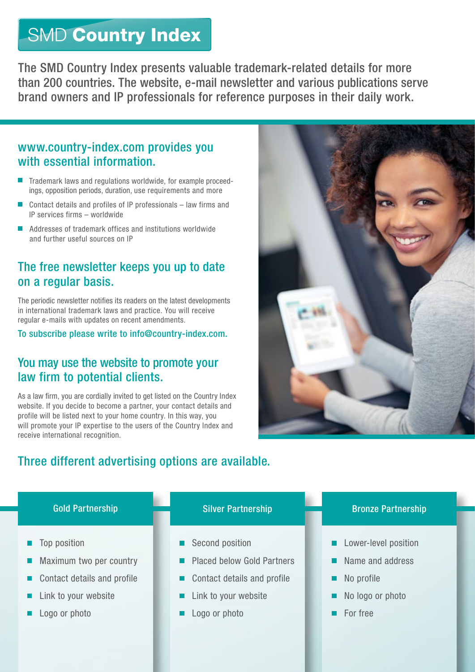# SMD Country Index

The SMD Country Index presents valuable trademark-related details for more than 200 countries. The website, e-mail newsletter and various publications serve brand owners and IP professionals for reference purposes in their daily work.

## www.country-index.com provides you with essential information.

- Trademark laws and regulations worldwide, for example proceedings, opposition periods, duration, use requirements and more
- Contact details and profiles of IP professionals law firms and IP services firms – worldwide
- Addresses of trademark offices and institutions worldwide and further useful sources on IP

# The free newsletter keeps you up to date on a regular basis.

The periodic newsletter notifies its readers on the latest developments in international trademark laws and practice. You will receive regular e-mails with updates on recent amendments.

To subscribe please write to info@country-index.com.

## You may use the website to promote your law firm to potential clients.

As a law firm, you are cordially invited to get listed on the Country Index website. If you decide to become a partner, your contact details and profile will be listed next to your home country. In this way, you will promote your IP expertise to the users of the Country Index and receive international recognition.

# Three different advertising options are available.



- Top position
- Maximum two per country
- Contact details and profile
- Link to your website
- Logo or photo

- Second position
- Placed below Gold Partners
- Contact details and profile
- Link to your website
- Logo or photo

### Gold Partnership **Silver Partnership Bronze Partnership** Bronze Partnership

- Lower-level position
- Name and address
- No profile
- No logo or photo
- For free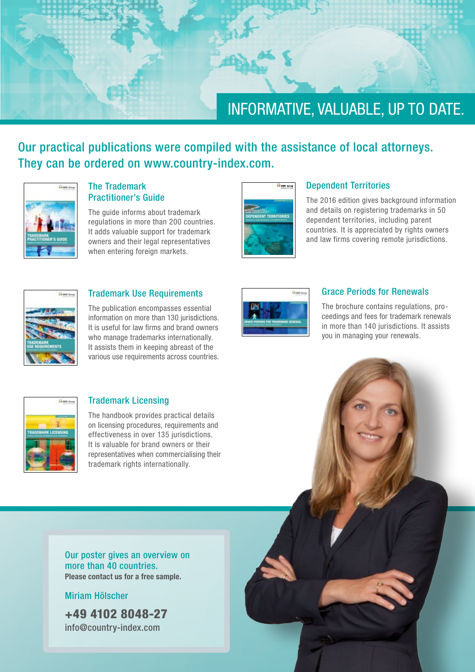

Our practical publications were compiled with the assistance of local attorneys. They can be ordered on www.country-index.com.



### The Trademark Practitioner's Guide

The quide informs about trademark regulations in more than 200 countries. It adds valuable support for trademark owners and their legal representatives when entering foreign markets.



#### Dependent Territories

The 2016 edition gives background information and details on registering trademarks in 50 dependent territories, including parent countries. It is appreciated by rights owners and law firms covering remote jurisdictions.



### Trademark Use Requirements

The publication encompasses essential information on more than 130 jurisdictions. It is useful for law firms and brand owners who manage trademarks internationally. It assists them in keeping abreast of the various use requirements across countries.



#### Grace Periods for Renewals

The brochure contains regulations, proceedings and fees for trademark renewals in more than 140 jurisdictions. It assists you in managing your renewals.



#### Trademark Licensing

The handbook provides practical details on licensing procedures, requirements and effectiveness in over 135 jurisdictions. It is valuable for brand owners or their representatives when commercialising their trademark rights internationally.

Our poster gives an overview on more than 40 countries. Please contact us for a free sample.

#### Miriam Hölscher

+49 4102 8048-27 info@country-index.com